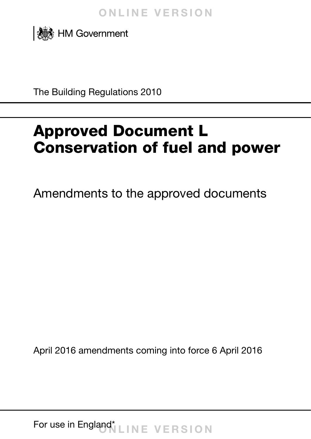

The Building Regulations 2010

# Approved Document L Conservation of fuel and power

Amendments to the approved documents

April 2016 amendments coming into force 6 April 2016

For use in England\* LINE VERSION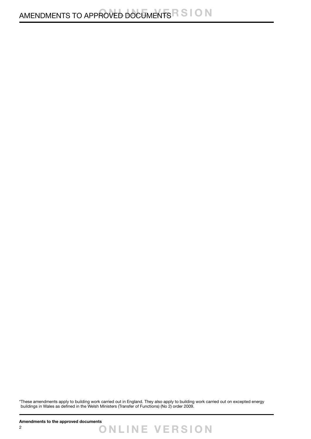\*These amendments apply to building work carried out in England. They also apply to building work carried out on excepted energy buildings in Wales as defined in the Welsh Ministers (Transfer of Functions) (No 2) order 2009.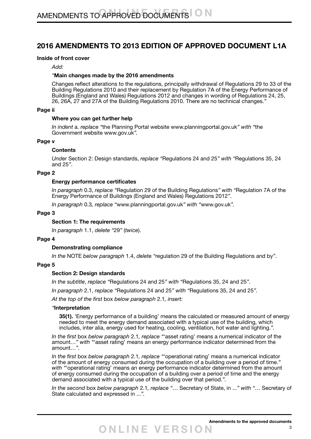# **2016 AMENDMENTS TO 2013 EDITION OF APPROVED DOCUMENT L1A**

#### **Inside of front cover**

*Add:*

#### *"***Main changes made by the 2016 amendments**

Changes reflect alterations to the regulations, principally withdrawal of Regulations 29 to 33 of the Building Regulations 2010 and their replacement by Regulation 7A of the Energy Performance of Buildings (England and Wales) Regulations 2012 and changes in wording of Regulations 24, 25, 26, 26A, 27 and 27A of the Building Regulations 2010. There are no technical changes.*"*

#### **Page ii**

#### **Where you can get further help**

*In indent* a. *replace "*the Planning Portal website www.planningportal.gov.uk*" with "*the Government website www.gov.uk*".*

#### **Page v**

#### **Contents**

*Under* Section 2: Design standards, *replace "*Regulations 24 and 25*" with "*Regulations 35, 24 and 25*"*.

#### **Page 2**

#### **Energy performance certificates**

*In paragraph* 0.3, *replace "*Regulation 29 of the Building Regulations*" with "*Regulation 7A of the Energy Performance of Buildings (England and Wales) Regulations 2012*"*.

*In paragraph* 0.3*, replace "*www.planningportal.gov.uk*" with "*www.gov.uk*".*

#### **Page 3**

#### **Section 1: The requirements**

*In paragraph* 1.1, *delete "*29*"* (*twice*).

#### **Page 4**

#### **Demonstrating compliance**

*In the* NOTE *below paragraph* 1.4, *delete "*regulation 29 of the Building Regulations and by*"*.

#### **Page 5**

#### **Section 2: Design standards**

*In the subtitle*, *replace "*Regulations 24 and 25*" with "*Regulations 35, 24 and 25*"*.

*In paragraph* 2.1, *replace "*Regulations 24 and 25*" with "*Regulations 35, 24 and 25*".*

*At the top of the first* box *below paragraph* 2.1*, insert:*

#### *"***Interpretation**

**35(1).** 'Energy performance of a building' means the calculated or measured amount of energy needed to meet the energy demand associated with a typical use of the building, which includes, inter alia, energy used for heating, cooling, ventilation, hot water and lighting.*".*

*In the first* box *below paragraph* 2.1*, replace "*'asset rating' means a numerical indicator of the amount…*" with "*'asset rating' means an energy performance indicator determined from the amount…*".*

*In the first* box *below paragraph* 2.1*, replace "*'operational rating' means a numerical indicator of the amount of energy consumed during the occupation of a building over a period of time.*"* with "operational rating' means an energy performance indicator determined from the amount of energy consumed during the occupation of a building over a period of time and the energy demand associated with a typical use of the building over that period.*".*

*In the second* box *below paragraph* 2.1*, replace "*… Secretary of State, in ...*" with "*… Secretary of State calculated and expressed in ...*".*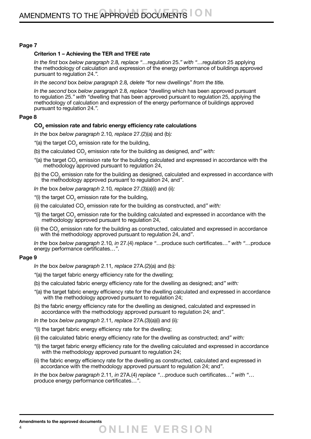#### **Page 7**

#### **Criterion 1 – Achieving the TER and TFEE rate**

*In the first* box *below paragraph* 2.8*, replace "*…regulation 25.*" with "*…regulation 25 applying the methodology of calculation and expression of the energy performance of buildings approved pursuant to regulation 24.*".*

*In the second* box *below paragraph* 2.8*, delete "*for new dwellings*" from the title.*

*In the second* box *below paragraph* 2.8*, replace "*dwelling which has been approved pursuant to regulation 25.*" with "*dwelling that has been approved pursuant to regulation 25, applying the methodology of calculation and expression of the energy performance of buildings approved pursuant to regulation 24.*".*

#### **Page 8**

### **CO2 emission rate and fabric energy efficiency rate calculations**

*In the* box *below paragraph* 2.10*, replace* 27.(2)(a) and (b)*:*

- "(a) the target  $\mathsf{CO}_2$  emission rate for the building,
- (b) the calculated  $\mathsf{CO}_2$  emission rate for the building as designed, and" with:
- "(a) the target CO<sub>2</sub> emission rate for the building calculated and expressed in accordance with the methodology approved pursuant to regulation 24,
- (b) the CO<sub>2</sub> emission rate for the building as designed, calculated and expressed in accordance with the methodology approved pursuant to regulation 24, and*"*.

*In the* box *below paragraph* 2.10*, replace* 27.(3)(a)(i) and (ii)*:*

- "(i) the target  $\mathsf{CO}_2$  emission rate for the building,
- (ii) the calculated CO<sub>2</sub> emission rate for the building as constructed, and" with:
- "(i) the target CO<sub>2</sub> emission rate for the building calculated and expressed in accordance with the methodology approved pursuant to regulation 24,
- (ii) the CO<sub>2</sub> emission rate for the building as constructed, calculated and expressed in accordance with the methodology approved pursuant to regulation 24, and*"*.

*In the* box *below paragraph* 2.10*, in* 27.(4) *replace "*…produce such certificates…*" with "*…produce energy performance certificates…*"*.

#### **Page 9**

- *In the* box *below paragraph* 2.11*, replace* 27A.(2)(a) and (b)*:*
- *"*(a) the target fabric energy efficiency rate for the dwelling;
- (b) the calculated fabric energy efficiency rate for the dwelling as designed; and*" with:*
- *"*(a) the target fabric energy efficiency rate for the dwelling calculated and expressed in accordance with the methodology approved pursuant to regulation 24;
- (b) the fabric energy efficiency rate for the dwelling as designed, calculated and expressed in accordance with the methodology approved pursuant to regulation 24; and*"*.
- *In the* box *below paragraph* 2.11*, replace* 27A.(3)(a)(i) and (ii)*:*
- *"*(i) the target fabric energy efficiency rate for the dwelling;
- (ii) the calculated fabric energy efficiency rate for the dwelling as constructed; and*" with:*
- *"*(i) the target fabric energy efficiency rate for the dwelling calculated and expressed in accordance with the methodology approved pursuant to regulation 24;
- (ii) the fabric energy efficiency rate for the dwelling as constructed, calculated and expressed in accordance with the methodology approved pursuant to regulation 24; and*"*.

*In the* box *below paragraph* 2.11*, in* 27A.(4) *replace "*…produce such certificates…*" with "*… produce energy performance certificates…*"*.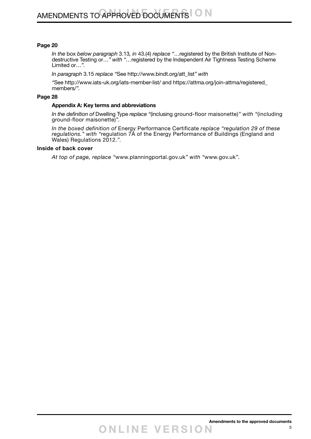#### **Page 20**

*In the* box *below paragraph* 3.13*, in* 43.(4) *replace "*…registered by the British Institute of Nondestructive Testing or…*" with "…*registered by the Independent Air Tightness Testing Scheme Limited or…*".*

*In paragraph* 3.15 *replace "*See http://www.bindt.org/att\_list*" with*

*"*See<http://www.iats-uk.org/iats-member-list/> and [https://attma.org/join-attma/registered\\_](https://attma.org/join-attma/registered_members/) [members/](https://attma.org/join-attma/registered_members/)*".*

#### **Page 28**

#### **Appendix A: Key terms and abbreviations**

*In the definition of* Dwelling Type *replace "*(inclusing ground-floor maisonette)*" with "*(including ground-floor maisonette)*".*

*In the boxed definition of* Energy Performance Certificate *replace "regulation 29 of these*  regulations." with "regulation 7A of the Energy Performance of Buildings (England and Wales) Regulations 2012.*".*

#### **Inside of back cover**

*At top of page, replace "*www.planningportal.gov.uk*" with "*www.gov.uk*".*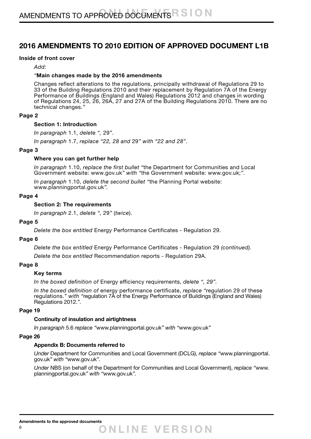# **2016 AMENDMENTS TO 2010 EDITION OF APPROVED DOCUMENT L1B**

#### **Inside of front cover**

*Add:*

#### *"***Main changes made by the 2016 amendments**

Changes reflect alterations to the regulations, principally withdrawal of Regulations 29 to 33 of the Building Regulations 2010 and their replacement by Regulation 7A of the Energy Performance of Buildings (England and Wales) Regulations 2012 and changes in wording of Regulations 24, 25, 26, 26A, 27 and 27A of the Building Regulations 2010. There are no technical changes.*"*

#### **Page 2**

#### **Section 1: Introduction**

*In paragraph* 1.1, *delete ",* 29*"*.

*In paragraph* 1.7, *replace "22, 28 and* 29*" with "22 and 28"*.

#### **Page 3**

#### **Where you can get further help**

*In paragraph* 1.10, *replace the first bullet "*the Department for Communities and Local Government website: www.gov.uk*" with "*the Government website: www.gov.uk;*"*.

*In paragraph* 1.10, *delete the second bullet "*the Planning Portal website: www.planningportal.gov.uk*".*

#### **Page 4**

#### **Section 2: The requirements**

*In paragraph* 2.1, *delete ",* 29*"* (*twice*).

#### **Page 5**

*Delete the box entitled* Energy Performance Certificates - Regulation 29.

#### **Page 6**

*Delete the box entitled* Energy Performance Certificates - Regulation 29 *(continued).*

*Delete the box entitled* Recommendation reports - Regulation 29A.

#### **Page 8**

#### **Key terms**

*In the boxed definition of* Energy efficiency requirements, *delete ", 29".*

*In the boxed definition of* energy performance certificate, *replace "*regulation 29 of these regulations.*" with "*regulation 7A of the Energy Performance of Buildings (England and Wales) Regulations 2012.*".*

#### **Page 19**

#### **Continuity of insulation and airtightness**

*In paragraph* 5.6 *replace "*www.planningportal.gov.uk*" with "*www.gov.uk*"*

#### **Page 26**

#### **Appendix B: Documents referred to**

*Under* Department for Communities and Local Government (DCLG), *replace "*www.planningportal. gov.uk*" with "*www.gov.uk*".*

*Under* NBS (on behalf of the Department for Communities and Local Government), *replace "*www. planningportal.gov.uk*" with "*www.gov.uk*".*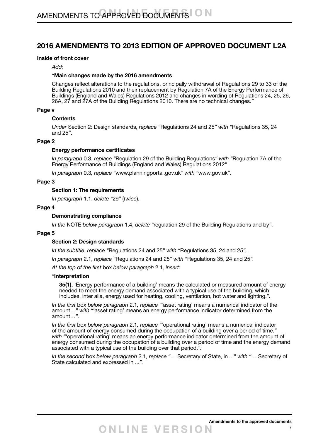# **2016 AMENDMENTS TO 2013 EDITION OF APPROVED DOCUMENT L2A**

#### **Inside of front cover**

*Add:*

#### *"***Main changes made by the 2016 amendments**

Changes reflect alterations to the regulations, principally withdrawal of Regulations 29 to 33 of the Building Regulations 2010 and their replacement by Regulation 7A of the Energy Performance of Buildings (England and Wales) Regulations 2012 and changes in wording of Regulations 24, 25, 26, 26A, 27 and 27A of the Building Regulations 2010. There are no technical changes.*"*

#### **Page v**

#### **Contents**

*Under* Section 2: Design standards, *replace "*Regulations 24 and 25*" with "*Regulations 35, 24 and 25*"*.

#### **Page 2**

#### **Energy performance certificates**

*In paragraph* 0.3, *replace "*Regulation 29 of the Building Regulations*" with "*Regulation 7A of the Energy Performance of Buildings (England and Wales) Regulations 2012*"*.

*In paragraph* 0.3*, replace "*www.planningportal.gov.uk*" with "*www.gov.uk*".*

#### **Page 3**

#### **Section 1: The requirements**

*In paragraph* 1.1, *delete "*29*"* (*twice*).

#### **Page 4**

#### **Demonstrating compliance**

*In the* NOTE *below paragraph* 1.4, *delete "*regulation 29 of the Building Regulations and by*"*.

#### **Page 5**

#### **Section 2: Design standards**

*In the subtitle*, *replace "*Regulations 24 and 25*" with "*Regulations 35, 24 and 25*"*.

*In paragraph* 2.1, *replace "*Regulations 24 and 25*" with "*Regulations 35, 24 and 25*".*

*At the top of the first* box *below paragraph* 2.1*, insert:*

#### *"***Interpretation**

**35(1).** 'Energy performance of a building' means the calculated or measured amount of energy needed to meet the energy demand associated with a typical use of the building, which includes, inter alia, energy used for heating, cooling, ventilation, hot water and lighting.*".*

*In the first* box *below paragraph* 2.1*, replace "*'asset rating' means a numerical indicator of the amount…*" with "*'asset rating' means an energy performance indicator determined from the amount…*".*

*In the first* box *below paragraph* 2.1*, replace "*'operational rating' means a numerical indicator of the amount of energy consumed during the occupation of a building over a period of time.*" with "*'operational rating' means an energy performance indicator determined from the amount of energy consumed during the occupation of a building over a period of time and the energy demand associated with a typical use of the building over that period.*".*

*In the second* box *below paragraph* 2.1*, replace "*… Secretary of State, in ...*" with "*… Secretary of State calculated and expressed in ...*".*

7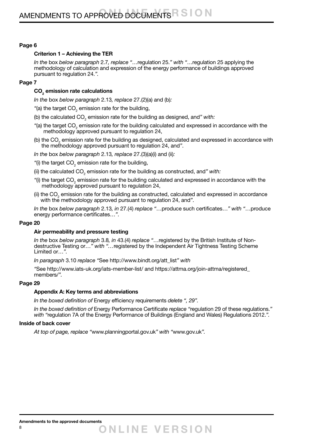#### **Page 6**

#### **Criterion 1 – Achieving the TER**

*In the* box *below paragraph* 2.7*, replace "*…regulation 25.*" with "*…regulation 25 applying the methodology of calculation and expression of the energy performance of buildings approved pursuant to regulation 24.*".*

#### **Page 7**

## **CO2 emission rate calculations**

*In the* box *below paragraph* 2.13*, replace* 27.(2)(a) and (b)*:*

- "(a) the target  $\mathsf{CO}_2$  emission rate for the building,
- (b) the calculated CO<sub>2</sub> emission rate for the building as designed, and" with:
- "(a) the target CO<sub>2</sub> emission rate for the building calculated and expressed in accordance with the methodology approved pursuant to regulation 24,
- (b) the CO<sub>2</sub> emission rate for the building as designed, calculated and expressed in accordance with the methodology approved pursuant to regulation 24, and*"*.
- *In the* box *below paragraph* 2.13*, replace* 27.(3)(a)(i) and (ii)*:*
- "(i) the target CO<sub>2</sub> emission rate for the building,
- (ii) the calculated CO<sub>2</sub> emission rate for the building as constructed, and" with:
- "(i) the target CO<sub>2</sub> emission rate for the building calculated and expressed in accordance with the methodology approved pursuant to regulation 24,
- (ii) the CO<sub>2</sub> emission rate for the building as constructed, calculated and expressed in accordance with the methodology approved pursuant to regulation 24, and*"*.

*In the* box *below paragraph* 2.13*, in* 27.(4) *replace "*…produce such certificates…*" with "*…produce energy performance certificates…*"*.

#### **Page 20**

#### **Air permeability and pressure testing**

*In the* box *below paragraph* 3.8*, in* 43.(4) *replace "*…registered by the British Institute of Nondestructive Testing or…*" with "…*registered by the Independent Air Tightness Testing Scheme Limited or…*".*

*In paragraph* 3.10 *replace "*See http://www.bindt.org/att\_list*" with*

*"*See<http://www.iats-uk.org/iats-member-list/> and [https://attma.org/join-attma/registered\\_](https://attma.org/join-attma/registered_members/) [members/](https://attma.org/join-attma/registered_members/)*".*

#### **Page 29**

#### **Appendix A: Key terms and abbreviations**

*In the boxed definition of* Energy efficiency requirements *delete ", 29".*

*In the boxed definition of* Energy Performance Certificate *replace "*regulation 29 of these regulations.*" with "*regulation 7A of the Energy Performance of Buildings (England and Wales) Regulations 2012.*".*

#### **Inside of back cover**

*At top of page, replace "*www.planningportal.gov.uk*" with "*www.gov.uk*".*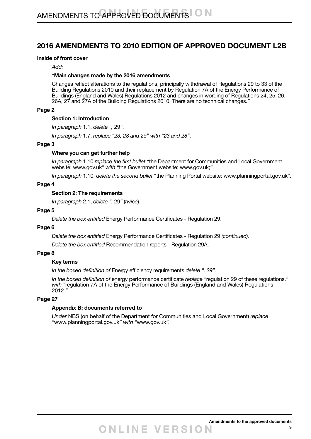# **2016 AMENDMENTS TO 2010 EDITION OF APPROVED DOCUMENT L2B**

#### **Inside of front cover**

*Add:*

#### *"***Main changes made by the 2016 amendments**

Changes reflect alterations to the regulations, principally withdrawal of Regulations 29 to 33 of the Building Regulations 2010 and their replacement by Regulation 7A of the Energy Performance of Buildings (England and Wales) Regulations 2012 and changes in wording of Regulations 24, 25, 26, 26A, 27 and 27A of the Building Regulations 2010. There are no technical changes.*"*

#### **Page 2**

#### **Section 1: Introduction**

*In paragraph* 1.1, *delete ",* 29*"*.

*In paragraph* 1.7, *replace "23, 28 and* 29*" with "23 and 28"*.

#### **Page 3**

#### **Where you can get further help**

*In paragraph* 1.10 *replace the first bullet "*the Department for Communities and Local Government website: www.gov.uk*" with "*the Government website: www.gov.uk;*"*.

*In paragraph* 1.10, *delete the second bullet* "the Planning Portal website: www.planningportal.gov.uk".

#### **Page 4**

#### **Section 2: The requirements**

*In paragraph* 2.1, *delete ",* 29*"* (*twice*).

#### **Page 5**

*Delete the box entitled* Energy Performance Certificates - Regulation 29.

#### **Page 6**

*Delete the box entitled* Energy Performance Certificates - Regulation 29 *(continued).*

*Delete the box entitled* Recommendation reports - Regulation 29A.

#### **Page 8**

#### **Key terms**

*In the boxed definition of* Energy efficiency requirements *delete ", 29".*

*In the boxed definition of* energy performance certificate *replace "*regulation 29 of these regulations.*" with "*regulation 7A of the Energy Performance of Buildings (England and Wales) Regulations 2012.*".*

#### **Page 27**

#### **Appendix B: documents referred to**

*Under* NBS (on behalf of the Department for Communities and Local Government) *replace "*www.planningportal.gov.uk*" with "*www.gov.uk*".*

9